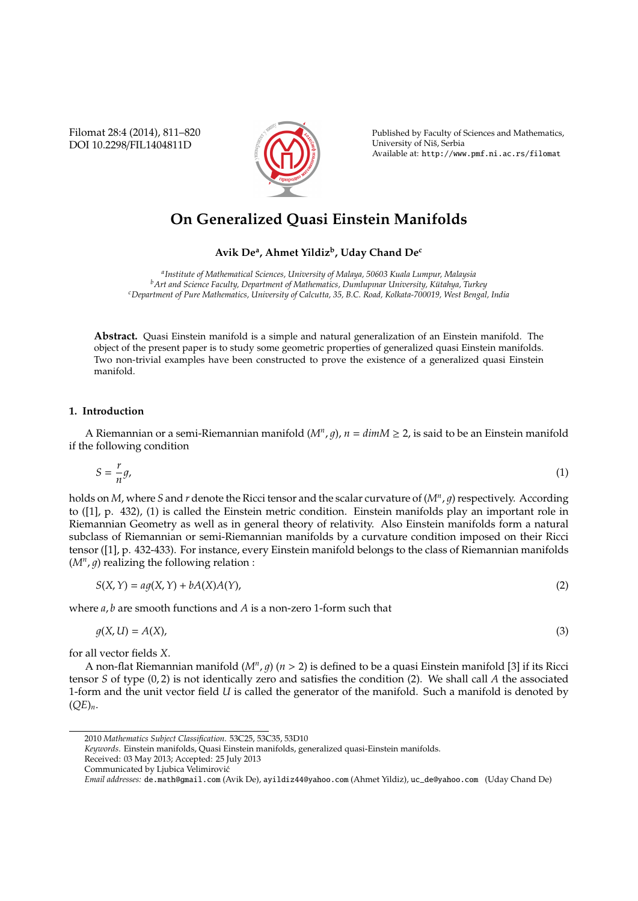Filomat 28:4 (2014), 811–820 DOI 10.2298/FIL1404811D



Published by Faculty of Sciences and Mathematics, University of Niš, Serbia Available at: http://www.pmf.ni.ac.rs/filomat

# **On Generalized Quasi Einstein Manifolds**

**Avik De<sup>a</sup> , Ahmet Yildiz<sup>b</sup> , Uday Chand De<sup>c</sup>**

*a Institute of Mathematical Sciences, University of Malaya, 50603 Kuala Lumpur, Malaysia b* Art and Science Faculty, Department of Mathematics, Dumlupinar University, Kütahya, Turkey *<sup>c</sup>Department of Pure Mathematics, University of Calcutta, 35, B.C. Road, Kolkata-700019, West Bengal, India*

**Abstract.** Quasi Einstein manifold is a simple and natural generalization of an Einstein manifold. The object of the present paper is to study some geometric properties of generalized quasi Einstein manifolds. Two non-trivial examples have been constructed to prove the existence of a generalized quasi Einstein manifold.

## **1. Introduction**

A Riemannian or a semi-Riemannian manifold  $(M^n, g)$ ,  $n = dimM \geq 2$ , is said to be an Einstein manifold if the following condition

$$
S = \frac{r}{n}g,\tag{1}
$$

holds on *M*, where *S* and *r* denote the Ricci tensor and the scalar curvature of (*M<sup>n</sup>*, *g*) respectively. According to ([1], p. 432), (1) is called the Einstein metric condition. Einstein manifolds play an important role in Riemannian Geometry as well as in general theory of relativity. Also Einstein manifolds form a natural subclass of Riemannian or semi-Riemannian manifolds by a curvature condition imposed on their Ricci tensor ([1], p. 432-433). For instance, every Einstein manifold belongs to the class of Riemannian manifolds  $(M^n, g)$  realizing the following relation :

$$
S(X,Y) = a g(X,Y) + b A(X) A(Y),
$$
\n<sup>(2)</sup>

where *a*, *b* are smooth functions and *A* is a non-zero 1-form such that

$$
g(X, U) = A(X),
$$
\n(3)

for all vector fields *X*.

A non-flat Riemannian manifold ( $M^n$ , *g*) (*n* > 2) is defined to be a quasi Einstein manifold [3] if its Ricci tensor *S* of type (0, 2) is not identically zero and satisfies the condition (2). We shall call *A* the associated 1-form and the unit vector field *U* is called the generator of the manifold. Such a manifold is denoted by  $(QE)_n$ .

<sup>2010</sup> *Mathematics Subject Classification*. 53C25, 53C35, 53D10

*Keywords*. Einstein manifolds, Quasi Einstein manifolds, generalized quasi-Einstein manifolds.

Received: 03 May 2013; Accepted: 25 July 2013

Communicated by Ljubica Velimirovic´

*Email addresses:* de.math@gmail.com (Avik De), ayildiz44@yahoo.com (Ahmet Yildiz), uc\_de@yahoo.com (Uday Chand De)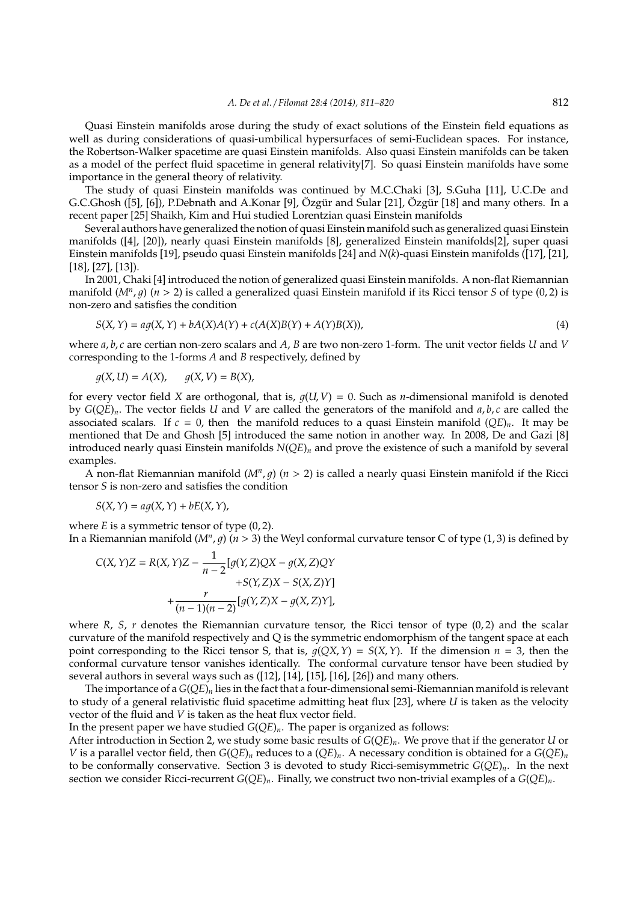Quasi Einstein manifolds arose during the study of exact solutions of the Einstein field equations as well as during considerations of quasi-umbilical hypersurfaces of semi-Euclidean spaces. For instance, the Robertson-Walker spacetime are quasi Einstein manifolds. Also quasi Einstein manifolds can be taken as a model of the perfect fluid spacetime in general relativity[7]. So quasi Einstein manifolds have some importance in the general theory of relativity.

The study of quasi Einstein manifolds was continued by M.C.Chaki [3], S.Guha [11], U.C.De and G.C.Ghosh ([5], [6]), P.Debnath and A.Konar [9], Özgür and Sular [21], Özgür [18] and many others. In a recent paper [25] Shaikh, Kim and Hui studied Lorentzian quasi Einstein manifolds

Several authors have generalized the notion of quasi Einstein manifold such as generalized quasi Einstein manifolds ([4], [20]), nearly quasi Einstein manifolds [8], generalized Einstein manifolds[2], super quasi Einstein manifolds [19], pseudo quasi Einstein manifolds [24] and *N*(*k*)-quasi Einstein manifolds ([17], [21], [18], [27], [13]).

In 2001, Chaki [4] introduced the notion of generalized quasi Einstein manifolds. A non-flat Riemannian manifold ( $M^n$ , *g*) (*n* > 2) is called a generalized quasi Einstein manifold if its Ricci tensor *S* of type (0, 2) is non-zero and satisfies the condition

$$
S(X,Y) = ag(X,Y) + bA(X)A(Y) + c(A(X)B(Y) + A(Y)B(X)),
$$
\n(4)

where *a*, *b*, *c* are certian non-zero scalars and *A*, *B* are two non-zero 1-form. The unit vector fields *U* and *V* corresponding to the 1-forms *A* and *B* respectively, defined by

$$
g(X, U) = A(X), \qquad g(X, V) = B(X),
$$

for every vector field *X* are orthogonal, that is,  $q(U, V) = 0$ . Such as *n*-dimensional manifold is denoted by *G*(*QE*)*n*. The vector fields *U* and *V* are called the generators of the manifold and *a*, *b*, *c* are called the associated scalars. If  $c = 0$ , then the manifold reduces to a quasi Einstein manifold  $(QE)<sub>n</sub>$ . It may be mentioned that De and Ghosh [5] introduced the same notion in another way. In 2008, De and Gazi [8] introduced nearly quasi Einstein manifolds *N*(*QE*)*<sup>n</sup>* and prove the existence of such a manifold by several examples.

A non-flat Riemannian manifold ( $M^n$ , *g*) (*n* > 2) is called a nearly quasi Einstein manifold if the Ricci tensor *S* is non-zero and satisfies the condition

$$
S(X, Y) = a g(X, Y) + b E(X, Y),
$$

where *E* is a symmetric tensor of type  $(0, 2)$ . In a Riemannian manifold ( $M^n$ ,  $g$ ) ( $n > 3$ ) the Weyl conformal curvature tensor C of type (1,3) is defined by

$$
C(X, Y)Z = R(X, Y)Z - \frac{1}{n-2} [g(Y, Z)QX - g(X, Z)QY +S(Y, Z)X - S(X, Z)Y] + \frac{r}{(n-1)(n-2)} [g(Y, Z)X - g(X, Z)Y],
$$

where *R*, *S*, *r* denotes the Riemannian curvature tensor, the Ricci tensor of type  $(0, 2)$  and the scalar curvature of the manifold respectively and Q is the symmetric endomorphism of the tangent space at each point corresponding to the Ricci tensor S, that is,  $q(OX, Y) = S(X, Y)$ . If the dimension  $n = 3$ , then the conformal curvature tensor vanishes identically. The conformal curvature tensor have been studied by several authors in several ways such as ([12], [14], [15], [16], [26]) and many others.

The importance of a *G*(*QE*)*<sup>n</sup>* lies in the fact that a four-dimensional semi-Riemannian manifold is relevant to study of a general relativistic fluid spacetime admitting heat flux [23], where *U* is taken as the velocity vector of the fluid and *V* is taken as the heat flux vector field.

In the present paper we have studied *G*(*QE*)*n*. The paper is organized as follows:

After introduction in Section 2, we study some basic results of *G*(*QE*)*n*. We prove that if the generator *U* or *V* is a parallel vector field, then  $G(QE)$ <sub>*n*</sub> reduces to a  $(QE)$ <sub>*n*</sub>. A necessary condition is obtained for a  $G(QE)$ <sub>*n*</sub> to be conformally conservative. Section 3 is devoted to study Ricci-semisymmetric  $G(QE)<sub>n</sub>$ . In the next section we consider Ricci-recurrent *G*(*QE*)*n*. Finally, we construct two non-trivial examples of a *G*(*QE*)*n*.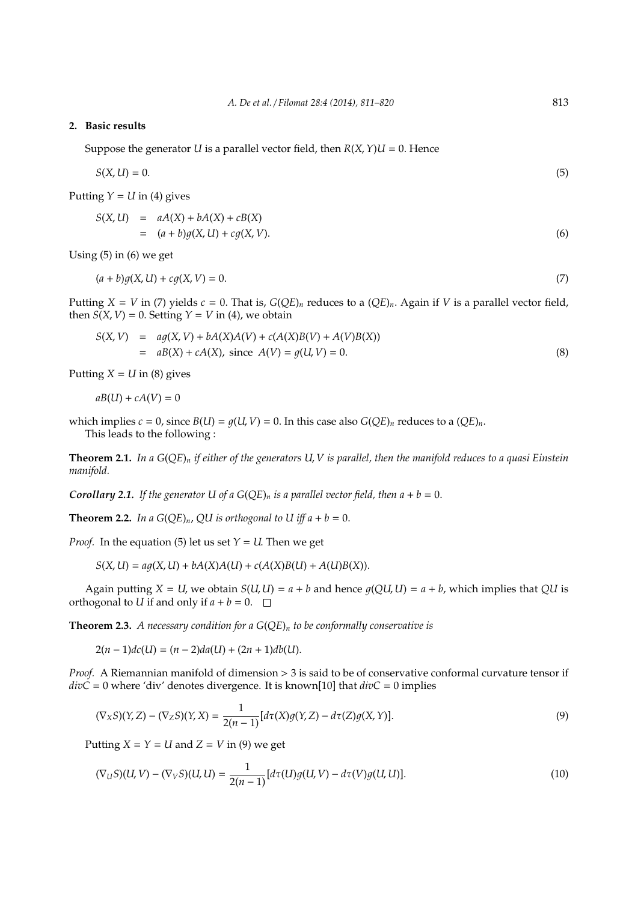## **2. Basic results**

Suppose the generator *U* is a parallel vector field, then  $R(X, Y)U = 0$ . Hence

$$
S(X, U) = 0.\tag{5}
$$

Putting  $Y = U$  in (4) gives

$$
S(X, U) = aA(X) + bA(X) + cB(X)
$$
  
= 
$$
(a + b)g(X, U) + cg(X, V).
$$
 (6)

Using  $(5)$  in  $(6)$  we get

$$
(a+b)g(X,U) + cg(X,V) = 0.\tag{7}
$$

Putting  $X = V$  in (7) yields  $c = 0$ . That is,  $G(QE)$ <sub>n</sub> reduces to a  $(QE)$ <sub>n</sub>. Again if V is a parallel vector field, then  $S(X, V) = 0$ . Setting  $Y = V$  in (4), we obtain

$$
S(X, V) = ag(X, V) + bA(X)A(V) + c(A(X)B(V) + A(V)B(X))
$$
  
=  $aB(X) + cA(X)$ , since  $A(V) = g(U, V) = 0$ . (8)

Putting  $X = U$  in (8) gives

 $aB(U) + cA(V) = 0$ 

which implies  $c = 0$ , since  $B(U) = g(U, V) = 0$ . In this case also  $G(QE)_n$  reduces to a  $(QE)_n$ . This leads to the following :

**Theorem 2.1.** *In a G*(*QE*)*<sup>n</sup> if either of the generators U*, *V is parallel, then the manifold reduces to a quasi Einstein manifold.*

*Corollary 2.1. If the generator U of a G(QE)<sub>n</sub> is a parallel vector field, then*  $a + b = 0$ *.* 

**Theorem 2.2.** *In a*  $G(QE)_{n}$ , *QU is orthogonal to U iff*  $a + b = 0$ *.* 

*Proof.* In the equation (5) let us set  $Y = U$ . Then we get

$$
S(X, U) = a g(X, U) + b A(X) A(U) + c(A(X)B(U) + A(U)B(X)).
$$

Again putting  $X = U$ , we obtain  $S(U, U) = a + b$  and hence  $g(QU, U) = a + b$ , which implies that  $QU$  is orthogonal to *U* if and only if  $a + b = 0$ .  $\Box$ 

**Theorem 2.3.** *A necessary condition for a*  $G(QE)$ <sub>*n*</sub> *to be conformally conservative is* 

 $2(n-1)d c(U) = (n-2)da(U) + (2n+1)db(U).$ 

*Proof.* A Riemannian manifold of dimension > 3 is said to be of conservative conformal curvature tensor if  $divC = 0$  where 'div' denotes divergence. It is known[10] that  $divC = 0$  implies

$$
(\nabla_X S)(Y,Z) - (\nabla_Z S)(Y,X) = \frac{1}{2(n-1)} [d\tau(X)g(Y,Z) - d\tau(Z)g(X,Y)].
$$
\n(9)

Putting  $X = Y = U$  and  $Z = V$  in (9) we get

$$
(\nabla_U S)(U, V) - (\nabla_V S)(U, U) = \frac{1}{2(n-1)} [d\tau(U)g(U, V) - d\tau(V)g(U, U)].
$$
\n(10)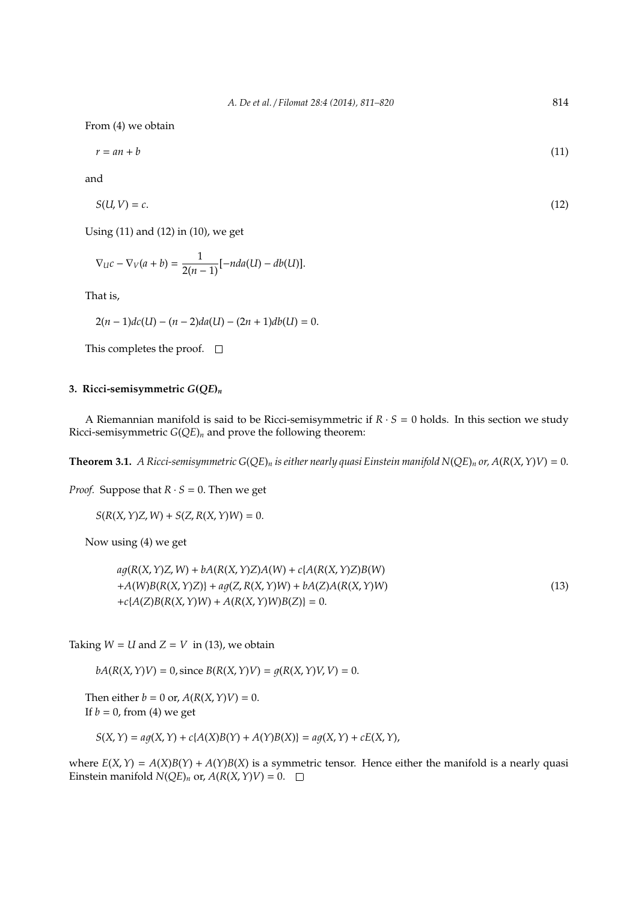From (4) we obtain

 $r = an + b$  (11)

and

$$
S(U, V) = c. \tag{12}
$$

Using  $(11)$  and  $(12)$  in  $(10)$ , we get

$$
\nabla_{U}c - \nabla_{V}(a+b) = \frac{1}{2(n-1)}[-nda(U) - db(U)].
$$

That is,

 $2(n-1)dc(U) - (n-2)da(U) - (2n+1)db(U) = 0.$ 

This completes the proof.  $\square$ 

# **3. Ricci-semisymmetric** *G***(***QE***)***<sup>n</sup>*

A Riemannian manifold is said to be Ricci-semisymmetric if  $R \cdot S = 0$  holds. In this section we study Ricci-semisymmetric *G*(*QE*)*<sup>n</sup>* and prove the following theorem:

**Theorem 3.1.** *A Ricci-semisymmetric G(QE)<sub>n</sub> is either nearly quasi Einstein manifold N(QE)<sub>n</sub> or,*  $A(R(X, Y)V) = 0$ *.* 

*Proof.* Suppose that  $R \cdot S = 0$ . Then we get

 $S(R(X, Y)Z, W) + S(Z, R(X, Y)W) = 0.$ 

Now using (4) we get

$$
ag(R(X, Y)Z, W) + bA(R(X, Y)Z)A(W) + c\{A(R(X, Y)Z)B(W) + A(W)B(R(X, Y)Z)\} + ag(Z, R(X, Y)W) + bA(Z)A(R(X, Y)W)
$$
  
+c{A(Z)B(R(X, Y)W) + A(R(X, Y)W)B(Z)} = 0. (13)

Taking  $W = U$  and  $Z = V$  in (13), we obtain

 $bA(R(X, Y)V) = 0$ , since  $B(R(X, Y)V) = g(R(X, Y)V, V) = 0$ .

Then either  $b = 0$  or,  $A(R(X, Y)V) = 0$ . If  $b = 0$ , from (4) we get

$$
S(X,Y) = a g(X,Y) + c\{A(X)B(Y) + A(Y)B(X)\} = a g(X,Y) + cE(X,Y),
$$

where  $E(X, Y) = A(X)B(Y) + A(Y)B(X)$  is a symmetric tensor. Hence either the manifold is a nearly quasi Einstein manifold  $N(QE)_n$  or,  $A(R(X, Y)V) = 0$ .  $\Box$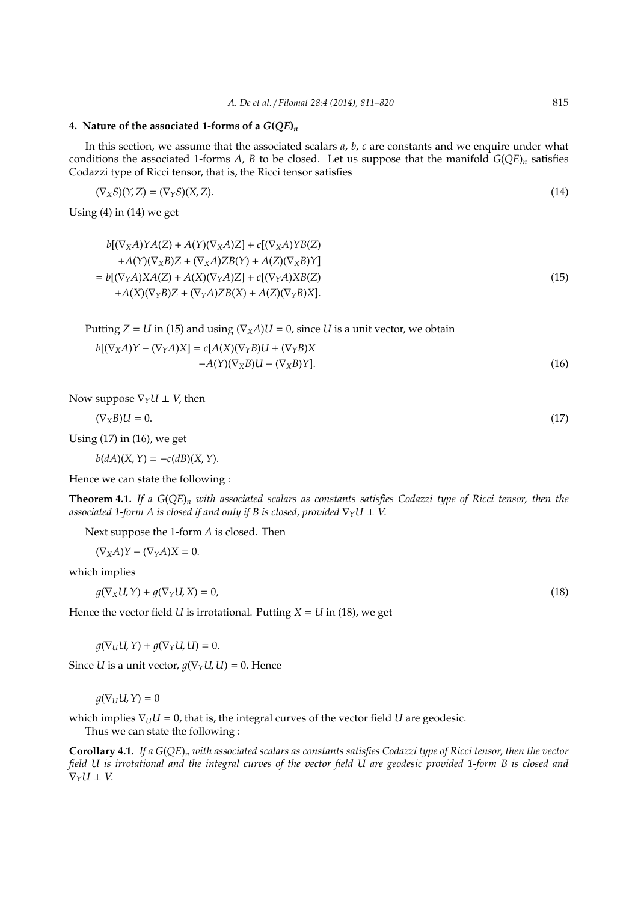#### 4. Nature of the associated 1-forms of a  $G(QE)$ <sup>*n*</sup>

In this section, we assume that the associated scalars *a*, *b*, *c* are constants and we enquire under what conditions the associated 1-forms  $A$ ,  $B$  to be closed. Let us suppose that the manifold  $G(QE)$ <sub>n</sub> satisfies Codazzi type of Ricci tensor, that is, the Ricci tensor satisfies

$$
(\nabla_X S)(Y,Z) = (\nabla_Y S)(X,Z). \tag{14}
$$

Using (4) in (14) we get

$$
b[(\nabla_X A)YA(Z) + A(Y)(\nabla_X A)Z] + c[(\nabla_X A)YB(Z) + A(Y)(\nabla_X B)Z + (\nabla_X A)ZB(Y) + A(Z)(\nabla_X B)Y]
$$
  
= 
$$
b[(\nabla_Y A)XA(Z) + A(X)(\nabla_Y A)Z] + c[(\nabla_Y A)XB(Z) + A(X)(\nabla_Y B)Z + (\nabla_Y A)ZB(X) + A(Z)(\nabla_Y B)X].
$$
 (15)

Putting  $Z = U$  in (15) and using  $(\nabla_X A)U = 0$ , since *U* is a unit vector, we obtain

$$
b[(\nabla_X A)Y - (\nabla_Y A)X] = c[A(X)(\nabla_Y B)U + (\nabla_Y B)X
$$
  
-A(Y)(\nabla\_X B)U - (\nabla\_X B)Y]. (16)

Now suppose  $\nabla_Y U \perp V$ , then

$$
(\nabla_X B)U = 0. \tag{17}
$$

Using (17) in (16), we get

 $b(dA)(X, Y) = -c(dB)(X, Y).$ 

Hence we can state the following :

**Theorem 4.1.** *If a G*(*QE*)*<sup>n</sup> with associated scalars as constants satisfies Codazzi type of Ricci tensor, then the associated 1-form A is closed if and only if B is closed, provided*  $\nabla_Y U \perp V$ .

Next suppose the 1-form *A* is closed. Then

 $(\nabla_X A)Y - (\nabla_Y A)X = 0.$ 

which implies

$$
g(\nabla_X U, Y) + g(\nabla_Y U, X) = 0,\tag{18}
$$

Hence the vector field *U* is irrotational. Putting  $X = U$  in (18), we get

 $q(\nabla_U U, Y) + q(\nabla_Y U, U) = 0.$ 

Since *U* is a unit vector,  $q(\nabla_Y U, U) = 0$ . Hence

 $q(\nabla_U U, Y) = 0$ 

which implies  $\nabla_U U = 0$ , that is, the integral curves of the vector field *U* are geodesic. Thus we can state the following :

**Corollary 4.1.** *If a G*(*QE*)*<sup>n</sup> with associated scalars as constants satisfies Codazzi type of Ricci tensor, then the vector field U is irrotational and the integral curves of the vector field U are geodesic provided 1-form B is closed and*  $\nabla_Y U \perp V$ .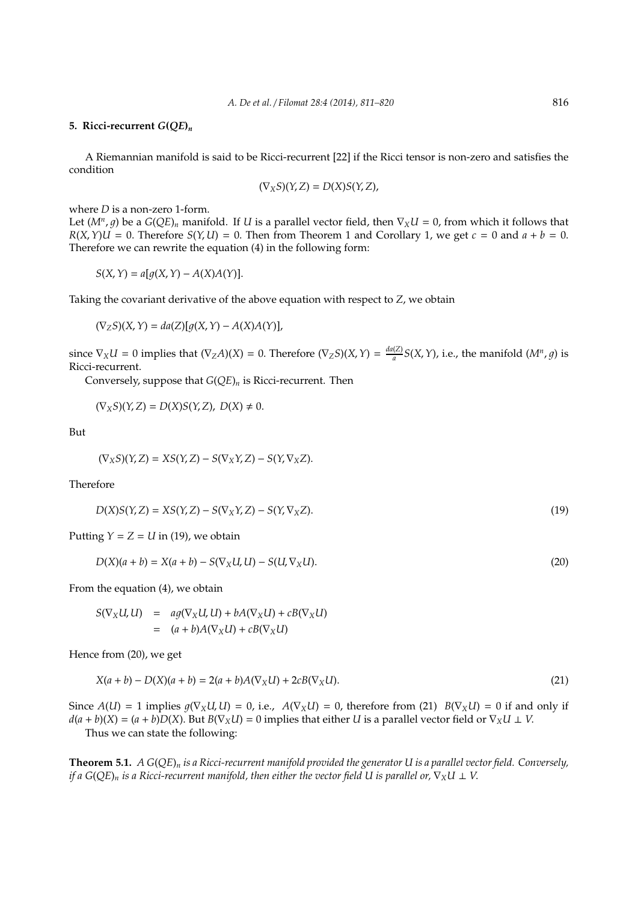## **5. Ricci-recurrent** *G***(***QE***)***<sup>n</sup>*

A Riemannian manifold is said to be Ricci-recurrent [22] if the Ricci tensor is non-zero and satisfies the condition

$$
(\nabla_X S)(Y,Z) = D(X)S(Y,Z),
$$

where *D* is a non-zero 1-form.

Let  $(M^n, g)$  be a  $G(QE)_n$  manifold. If *U* is a parallel vector field, then  $\nabla_X U = 0$ , from which it follows that  $R(X, Y)U = 0$ . Therefore  $S(Y, U) = 0$ . Then from Theorem 1 and Corollary 1, we get  $c = 0$  and  $a + b = 0$ . Therefore we can rewrite the equation (4) in the following form:

 $S(X, Y) = a[q(X, Y) - A(X)A(Y)].$ 

Taking the covariant derivative of the above equation with respect to *Z*, we obtain

 $(\nabla_Z S)(X, Y) = da(Z)[q(X, Y) - A(X)A(Y)],$ 

since  $\nabla_X U = 0$  implies that  $(\nabla_Z A)(X) = 0$ . Therefore  $(\nabla_Z S)(X, Y) = \frac{da(Z)}{a}$  $\frac{d}{dx}S(X, Y)$ , i.e., the manifold  $(M^n, g)$  is Ricci-recurrent.

Conversely, suppose that *G*(*QE*)*<sup>n</sup>* is Ricci-recurrent. Then

 $(\nabla_X S)(Y, Z) = D(X)S(Y, Z), D(X) \neq 0.$ 

But

$$
(\nabla_X S)(Y,Z) = XS(Y,Z) - S(\nabla_X Y,Z) - S(Y,\nabla_X Z).
$$

Therefore

$$
D(X)S(Y,Z) = XS(Y,Z) - S(\nabla_X Y, Z) - S(Y, \nabla_X Z). \tag{19}
$$

Putting  $Y = Z = U$  in (19), we obtain

$$
D(X)(a + b) = X(a + b) - S(\nabla_X U, U) - S(U, \nabla_X U). \tag{20}
$$

From the equation (4), we obtain

$$
S(\nabla_X U, U) = ag(\nabla_X U, U) + bA(\nabla_X U) + cB(\nabla_X U)
$$
  
= 
$$
(a + b)A(\nabla_X U) + cB(\nabla_X U)
$$

Hence from (20), we get

$$
X(a + b) - D(X)(a + b) = 2(a + b)A(\nabla_X U) + 2cB(\nabla_X U). \tag{21}
$$

Since  $A(U) = 1$  implies  $g(\nabla_X U, U) = 0$ , i.e.,  $A(\nabla_X U) = 0$ , therefore from (21)  $B(\nabla_X U) = 0$  if and only if  $d(a + b)(X) = (a + b)D(X)$ . But  $B(\nabla_X U) = 0$  implies that either *U* is a parallel vector field or  $\nabla_X U \perp V$ . Thus we can state the following:

**Theorem 5.1.** *A G*(*QE*)*<sup>n</sup> is a Ricci-recurrent manifold provided the generator U is a parallel vector field. Conversely, if a G*( $QE$ )<sub>*n*</sub> *is a Ricci-recurrent manifold, then either the vector field U is parallel or,*  $\nabla_X U \perp V$ .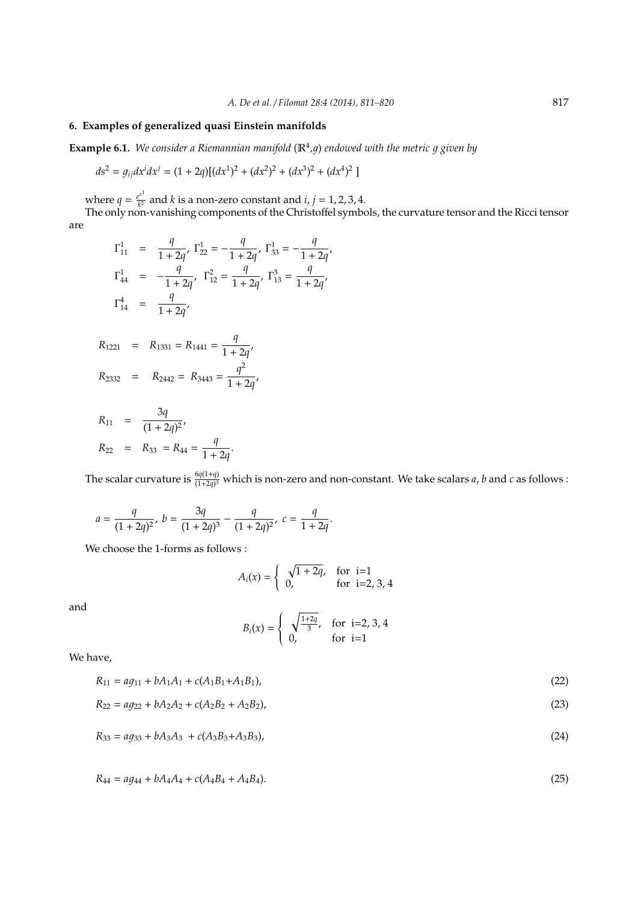# **6. Examples of generalized quasi Einstein manifolds**

**Example 6.1.** We consider a Riemannian manifold  $(\mathbb{R}^4, g)$  endowed with the metric g given by

$$
ds^{2} = g_{ij}dx^{i}dx^{j} = (1 + 2q)[(dx^{1})^{2} + (dx^{2})^{2} + (dx^{3})^{2} + (dx^{4})^{2}]
$$

where  $q = \frac{e^{x^1}}{k^2}$  $\frac{p}{k^2}$  and *k* is a non-zero constant and *i*, *j* = 1, 2, 3, 4.

The only non-vanishing components of the Christoffel symbols, the curvature tensor and the Ricci tensor are

$$
\Gamma_{11}^{1} = \frac{q}{1 + 2q}, \Gamma_{22}^{1} = -\frac{q}{1 + 2q}, \Gamma_{33}^{1} = -\frac{q}{1 + 2q},
$$
  
\n
$$
\Gamma_{44}^{1} = -\frac{q}{1 + 2q}, \Gamma_{12}^{2} = \frac{q}{1 + 2q}, \Gamma_{13}^{3} = \frac{q}{1 + 2q},
$$
  
\n
$$
\Gamma_{14}^{4} = \frac{q}{1 + 2q},
$$
  
\n
$$
R_{1221} = R_{1331} = R_{1441} = \frac{q}{1 + 2q},
$$
  
\n
$$
R_{2332} = R_{2442} = R_{3443} = \frac{q^{2}}{1 + 2q},
$$

$$
R_{11} = \frac{3q}{(1+2q)^2},
$$
  
\n
$$
R_{22} = R_{33} = R_{44} = \frac{q}{1+2q}.
$$

The scalar curvature is  $\frac{6q(1+q)}{(1+2q)^3}$  which is non-zero and non-constant. We take scalars *a*, *b* and *c* as follows :

$$
a = \frac{q}{(1+2q)^2}, \ b = \frac{3q}{(1+2q)^3} - \frac{q}{(1+2q)^2}, \ c = \frac{q}{1+2q}.
$$

We choose the 1-forms as follows :

$$
A_i(x) = \begin{cases} \sqrt{1+2q}, & \text{for } i=1\\ 0, & \text{for } i=2, 3, 4 \end{cases}
$$

and

$$
B_i(x) = \begin{cases} \sqrt{\frac{1+2q}{3}}, & \text{for } i=2, 3, 4 \\ 0, & \text{for } i=1 \end{cases}
$$

We have,

$$
R_{11} = a g_{11} + b A_1 A_1 + c (A_1 B_1 + A_1 B_1),
$$
\n(22)

 $R_{22} = a g_{22} + b A_2 A_2 + c (A_2 B_2 + A_2 B_2),$  (23)

$$
R_{33} = ag_{33} + bA_3A_3 + c(A_3B_3 + A_3B_3),
$$
\n(24)

$$
R_{44} = a g_{44} + b A_4 A_4 + c (A_4 B_4 + A_4 B_4). \tag{25}
$$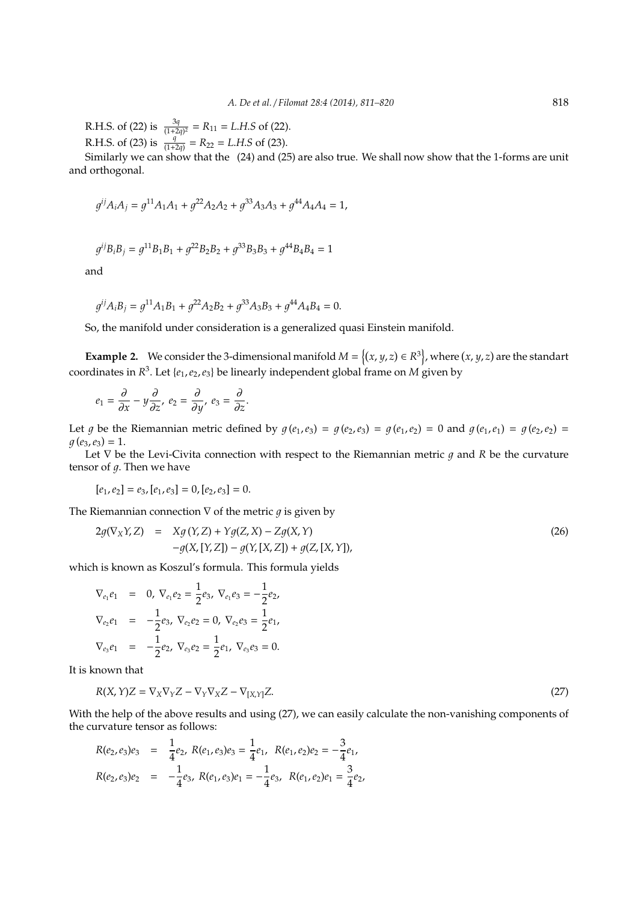R.H.S. of (22) is  $\frac{3q}{(1+2q)^2} = R_{11} = L.H.S$  of (22).

R.H.S. of (23) is  $\frac{q}{(1+2q)} = R_{22} = L.H.S$  of (23).

Similarly we can show that the (24) and (25) are also true. We shall now show that the 1-forms are unit and orthogonal.

$$
g^{ij}A_iA_j = g^{11}A_1A_1 + g^{22}A_2A_2 + g^{33}A_3A_3 + g^{44}A_4A_4 = 1,
$$

$$
g^{ij}B_iB_j = g^{11}B_1B_1 + g^{22}B_2B_2 + g^{33}B_3B_3 + g^{44}B_4B_4 = 1
$$

and

$$
g^{ij}A_iB_j = g^{11}A_1B_1 + g^{22}A_2B_2 + g^{33}A_3B_3 + g^{44}A_4B_4 = 0.
$$

So, the manifold under consideration is a generalized quasi Einstein manifold.

**Example 2.** We consider the 3-dimensional manifold  $M = \{(x, y, z) \in R^3\}$ , where  $(x, y, z)$  are the standart coordinates in *R* 3 . Let {*e*1,*e*2,*e*3} be linearly independent global frame on *M* given by

$$
e_1 = \frac{\partial}{\partial x} - y \frac{\partial}{\partial z}, \ e_2 = \frac{\partial}{\partial y}, \ e_3 = \frac{\partial}{\partial z}.
$$

Let *g* be the Riemannian metric defined by  $g(e_1, e_3) = g(e_2, e_3) = g(e_1, e_2) = 0$  and  $g(e_1, e_1) = g(e_2, e_2) = 0$  $g(e_3, e_3) = 1.$ 

Let ∇ be the Levi-Civita connection with respect to the Riemannian metric *g* and *R* be the curvature tensor of  $q$ . Then we have

$$
[e_1, e_2] = e_3, [e_1, e_3] = 0, [e_2, e_3] = 0.
$$

The Riemannian connection  $\nabla$  of the metric  $g$  is given by

$$
2g(\nabla_X Y, Z) = Xg(Y, Z) + Yg(Z, X) - Zg(X, Y) -g(X, [Y, Z]) - g(Y, [X, Z]) + g(Z, [X, Y]),
$$
\n(26)

which is known as Koszul's formula. This formula yields

$$
\nabla_{e_1} e_1 = 0, \nabla_{e_1} e_2 = \frac{1}{2} e_3, \nabla_{e_1} e_3 = -\frac{1}{2} e_2,
$$
\n
$$
\nabla_{e_2} e_1 = -\frac{1}{2} e_3, \nabla_{e_2} e_2 = 0, \nabla_{e_2} e_3 = \frac{1}{2} e_1,
$$
\n
$$
\nabla_{e_3} e_1 = -\frac{1}{2} e_2, \nabla_{e_3} e_2 = \frac{1}{2} e_1, \nabla_{e_3} e_3 = 0.
$$

It is known that

$$
R(X,Y)Z = \nabla_X \nabla_Y Z - \nabla_Y \nabla_X Z - \nabla_{[X,Y]} Z.
$$
\n
$$
(27)
$$

With the help of the above results and using (27), we can easily calculate the non-vanishing components of the curvature tensor as follows:

$$
R(e_2, e_3)e_3 = \frac{1}{4}e_2, R(e_1, e_3)e_3 = \frac{1}{4}e_1, R(e_1, e_2)e_2 = -\frac{3}{4}e_1,
$$
  

$$
R(e_2, e_3)e_2 = -\frac{1}{4}e_3, R(e_1, e_3)e_1 = -\frac{1}{4}e_3, R(e_1, e_2)e_1 = \frac{3}{4}e_2,
$$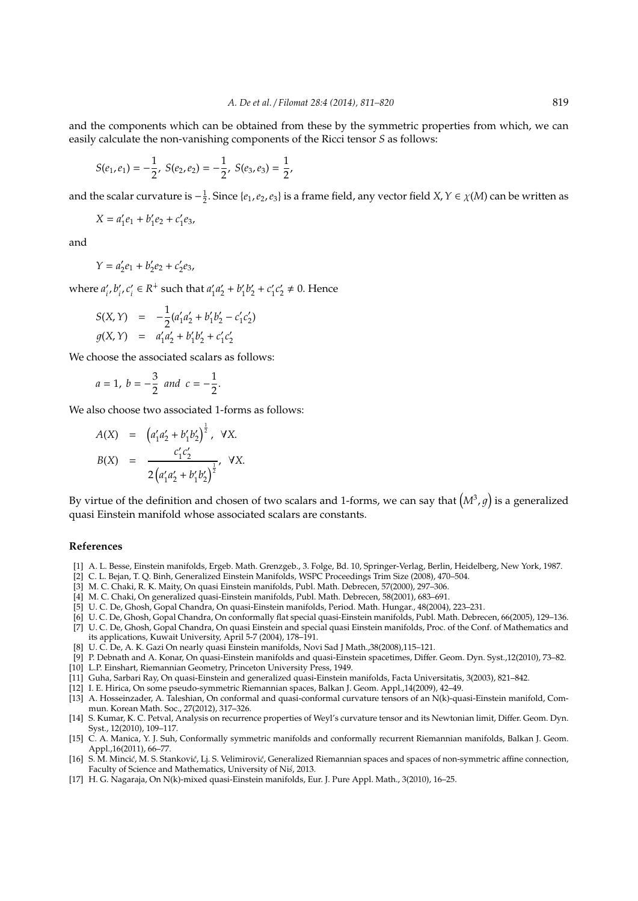and the components which can be obtained from these by the symmetric properties from which, we can easily calculate the non-vanishing components of the Ricci tensor *S* as follows:

$$
S(e_1, e_1) = -\frac{1}{2}, \ S(e_2, e_2) = -\frac{1}{2}, \ S(e_3, e_3) = \frac{1}{2},
$$

and the scalar curvature is  $-\frac{1}{2}$ . Since {*e*<sub>1</sub>, *e*<sub>2</sub>, *e*<sub>3</sub>} is a frame field, any vector field *X*, *Y*  $\in \chi(M)$  can be written as

$$
X = a_1'e_1 + b_1'e_2 + c_1'e_3,
$$

and

$$
Y = a_2'e_1 + b_2'e_2 + c_2'e_3,
$$

where  $a_i'$  $i<sub>i</sub>$ ,  $b<sub>i</sub>$  $\frac{1}{i}$ ,  $c_i'$  $a'_i \in R^+$  such that  $a'_1$  $\int_{1}^{\prime} a'_{2}$  $b'_1 + b'_1$  $\frac{1}{2}b_2'$  $c'_1 + c'_1$  $\frac{1}{2}c_2'$  $y'_2 \neq 0$ . Hence

$$
S(X, Y) = -\frac{1}{2}(a'_1a'_2 + b'_1b'_2 - c'_1c'_2)
$$
  
 
$$
g(X, Y) = a'_1a'_2 + b'_1b'_2 + c'_1c'_2
$$

We choose the associated scalars as follows:

$$
a = 1
$$
,  $b = -\frac{3}{2}$  and  $c = -\frac{1}{2}$ .

We also choose two associated 1-forms as follows:

$$
A(X) = (a'_1 a'_2 + b'_1 b'_2)^{\frac{1}{2}}, \forall X.
$$
  
\n
$$
B(X) = \frac{c'_1 c'_2}{2(a'_1 a'_2 + b'_1 b'_2)^{\frac{1}{2}}}, \forall X.
$$

By virtue of the definition and chosen of two scalars and 1-forms, we can say that  $(M^3, g)$  is a generalized quasi Einstein manifold whose associated scalars are constants.

## **References**

- [1] A. L. Besse, Einstein manifolds, Ergeb. Math. Grenzgeb., 3. Folge, Bd. 10, Springer-Verlag, Berlin, Heidelberg, New York, 1987.
- [2] C. L. Bejan, T. Q. Binh, Generalized Einstein Manifolds, WSPC Proceedings Trim Size (2008), 470–504.
- [3] M. C. Chaki, R. K. Maity, On quasi Einstein manifolds, Publ. Math. Debrecen, 57(2000), 297–306.
- [4] M. C. Chaki, On generalized quasi-Einstein manifolds, Publ. Math. Debrecen, 58(2001), 683–691.
- [5] U. C. De, Ghosh, Gopal Chandra, On quasi-Einstein manifolds, Period. Math. Hungar., 48(2004), 223–231.
- [6] U. C. De, Ghosh, Gopal Chandra, On conformally flat special quasi-Einstein manifolds, Publ. Math. Debrecen, 66(2005), 129–136. [7] U. C. De, Ghosh, Gopal Chandra, On quasi Einstein and special quasi Einstein manifolds, Proc. of the Conf. of Mathematics and its applications, Kuwait University, April 5-7 (2004), 178–191.
- U. C. De, A. K. Gazi On nearly quasi Einstein manifolds, Novi Sad J Math.,38(2008),115-121.
- [9] P. Debnath and A. Konar, On quasi-Einstein manifolds and quasi-Einstein spacetimes, Differ. Geom. Dyn. Syst.,12(2010), 73–82.
- [10] L.P. Einshart, Riemannian Geometry, Princeton University Press, 1949.
- [11] Guha, Sarbari Ray, On quasi-Einstein and generalized quasi-Einstein manifolds, Facta Universitatis, 3(2003), 821–842.
- [12] I. E. Hirica, On some pseudo-symmetric Riemannian spaces, Balkan J. Geom. Appl.,14(2009), 42–49.
- [13] A. Hosseinzader, A. Taleshian, On conformal and quasi-conformal curvature tensors of an N(k)-quasi-Einstein manifold, Commun. Korean Math. Soc., 27(2012), 317–326.
- [14] S. Kumar, K. C. Petval, Analysis on recurrence properties of Weyl's curvature tensor and its Newtonian limit, Differ. Geom. Dyn. Syst., 12(2010), 109–117.
- [15] C. A. Manica, Y. J. Suh, Conformally symmetric manifolds and conformally recurrent Riemannian manifolds, Balkan J. Geom. Appl.,16(2011), 66–77.
- [16] S. M. Minci*c*´, M. S. Stankovi*c*´, Lj. S. Velimirovi*c*´, Generalized Riemannian spaces and spaces of non-symmetric affine connection, Faculty of Science and Mathematics, University of Nis, 2013.
- [17] H. G. Nagaraja, On N(k)-mixed quasi-Einstein manifolds, Eur. J. Pure Appl. Math., 3(2010), 16–25.